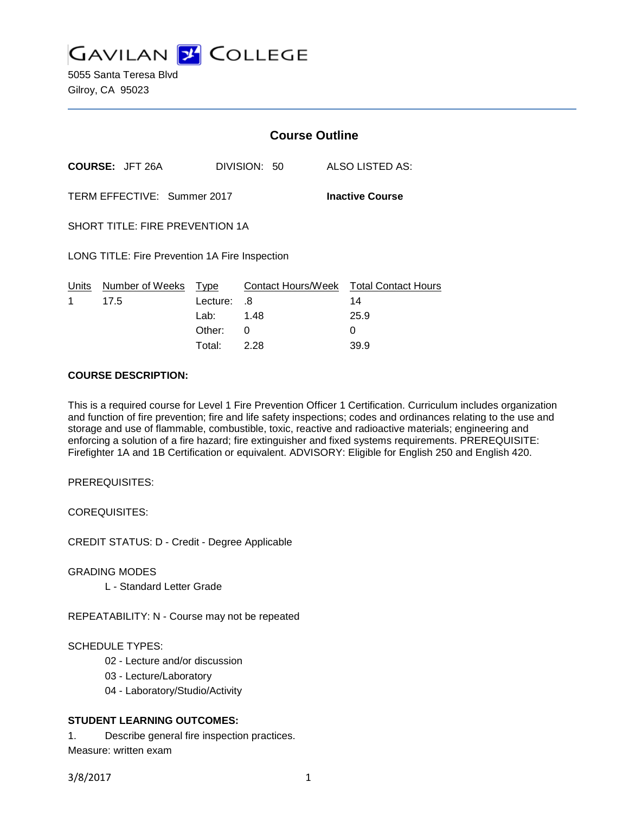**GAVILAN 2 COLLEGE** 

5055 Santa Teresa Blvd Gilroy, CA 95023

|                                                       |                         | <b>Course Outline</b> |                          |  |                                  |
|-------------------------------------------------------|-------------------------|-----------------------|--------------------------|--|----------------------------------|
|                                                       | <b>COURSE: JFT 26A</b>  |                       | DIVISION: 50             |  | ALSO LISTED AS:                  |
| TERM EFFECTIVE: Summer 2017<br><b>Inactive Course</b> |                         |                       |                          |  |                                  |
| SHORT TITLE: FIRE PREVENTION 1A                       |                         |                       |                          |  |                                  |
| LONG TITLE: Fire Prevention 1A Fire Inspection        |                         |                       |                          |  |                                  |
| Units<br>1                                            | Number of Weeks<br>17.5 | Type<br>Lecture:      | Contact Hours/Week<br>.8 |  | <b>Total Contact Hours</b><br>14 |
|                                                       |                         | Lab: __               | 1.48                     |  | 25.9                             |
|                                                       |                         | Other:                | 0                        |  | 0                                |

## **COURSE DESCRIPTION:**

This is a required course for Level 1 Fire Prevention Officer 1 Certification. Curriculum includes organization and function of fire prevention; fire and life safety inspections; codes and ordinances relating to the use and storage and use of flammable, combustible, toxic, reactive and radioactive materials; engineering and enforcing a solution of a fire hazard; fire extinguisher and fixed systems requirements. PREREQUISITE: Firefighter 1A and 1B Certification or equivalent. ADVISORY: Eligible for English 250 and English 420.

Total: 2.28 39.9

PREREQUISITES:

COREQUISITES:

CREDIT STATUS: D - Credit - Degree Applicable

GRADING MODES

L - Standard Letter Grade

REPEATABILITY: N - Course may not be repeated

SCHEDULE TYPES:

02 - Lecture and/or discussion

03 - Lecture/Laboratory

04 - Laboratory/Studio/Activity

## **STUDENT LEARNING OUTCOMES:**

1. Describe general fire inspection practices. Measure: written exam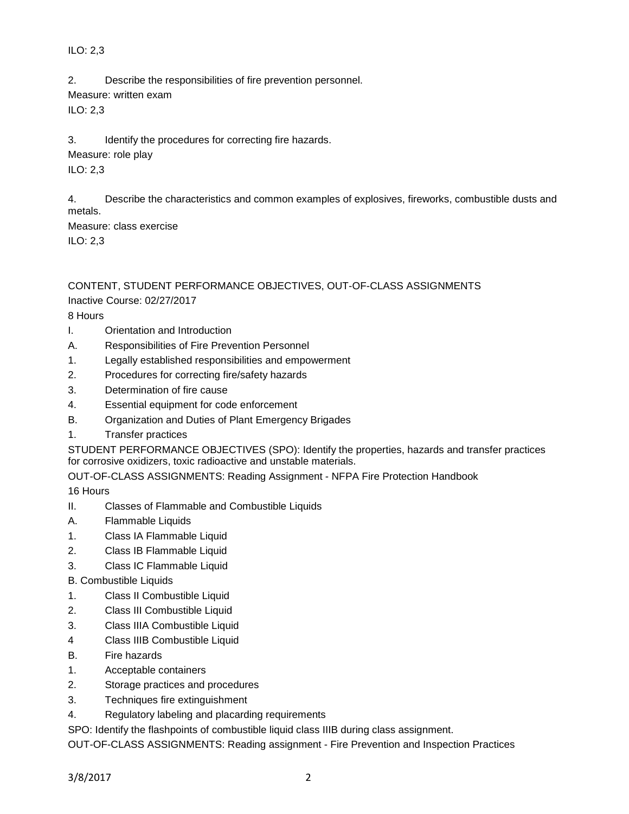## ILO: 2,3

2. Describe the responsibilities of fire prevention personnel.

Measure: written exam

ILO: 2,3

3. Identify the procedures for correcting fire hazards.

Measure: role play

ILO: 2,3

4. Describe the characteristics and common examples of explosives, fireworks, combustible dusts and metals.

Measure: class exercise ILO: 2,3

# CONTENT, STUDENT PERFORMANCE OBJECTIVES, OUT-OF-CLASS ASSIGNMENTS

Inactive Course: 02/27/2017

8 Hours

- I. Orientation and Introduction
- A. Responsibilities of Fire Prevention Personnel
- 1. Legally established responsibilities and empowerment
- 2. Procedures for correcting fire/safety hazards
- 3. Determination of fire cause
- 4. Essential equipment for code enforcement
- B. Organization and Duties of Plant Emergency Brigades
- 1. Transfer practices

STUDENT PERFORMANCE OBJECTIVES (SPO): Identify the properties, hazards and transfer practices for corrosive oxidizers, toxic radioactive and unstable materials.

OUT-OF-CLASS ASSIGNMENTS: Reading Assignment - NFPA Fire Protection Handbook

16 Hours

- II. Classes of Flammable and Combustible Liquids
- A. Flammable Liquids
- 1. Class IA Flammable Liquid
- 2. Class IB Flammable Liquid
- 3. Class IC Flammable Liquid
- B. Combustible Liquids
- 1. Class II Combustible Liquid
- 2. Class III Combustible Liquid
- 3. Class IIIA Combustible Liquid
- 4 Class IIIB Combustible Liquid
- B. Fire hazards
- 1. Acceptable containers
- 2. Storage practices and procedures
- 3. Techniques fire extinguishment
- 4. Regulatory labeling and placarding requirements

SPO: Identify the flashpoints of combustible liquid class IIIB during class assignment.

OUT-OF-CLASS ASSIGNMENTS: Reading assignment - Fire Prevention and Inspection Practices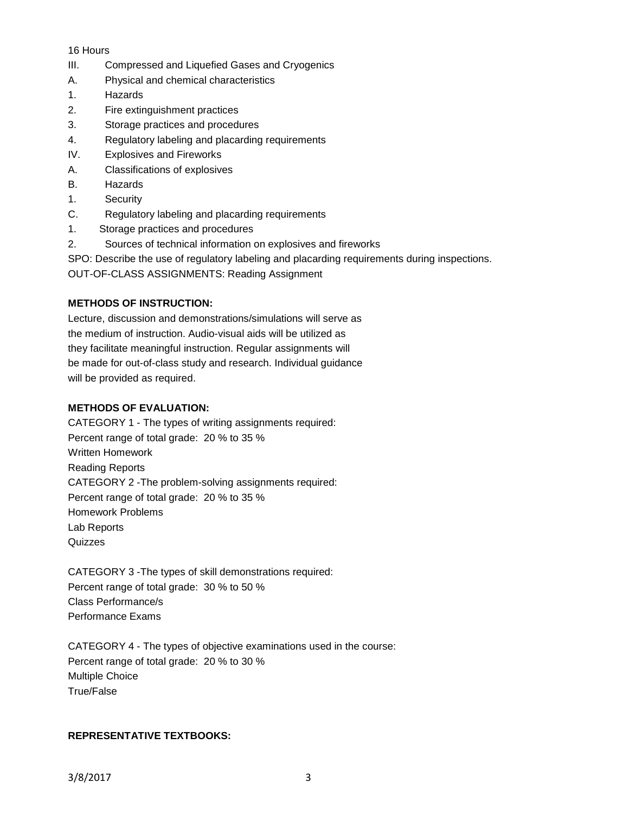## 16 Hours

- III. Compressed and Liquefied Gases and Cryogenics
- A. Physical and chemical characteristics
- 1. Hazards
- 2. Fire extinguishment practices
- 3. Storage practices and procedures
- 4. Regulatory labeling and placarding requirements
- IV. Explosives and Fireworks
- A. Classifications of explosives
- B. Hazards
- 1. Security
- C. Regulatory labeling and placarding requirements
- 1. Storage practices and procedures
- 2. Sources of technical information on explosives and fireworks
- SPO: Describe the use of regulatory labeling and placarding requirements during inspections.

OUT-OF-CLASS ASSIGNMENTS: Reading Assignment

## **METHODS OF INSTRUCTION:**

Lecture, discussion and demonstrations/simulations will serve as the medium of instruction. Audio-visual aids will be utilized as they facilitate meaningful instruction. Regular assignments will be made for out-of-class study and research. Individual guidance will be provided as required.

## **METHODS OF EVALUATION:**

CATEGORY 1 - The types of writing assignments required: Percent range of total grade: 20 % to 35 % Written Homework Reading Reports CATEGORY 2 -The problem-solving assignments required: Percent range of total grade: 20 % to 35 % Homework Problems Lab Reports **Quizzes** 

CATEGORY 3 -The types of skill demonstrations required: Percent range of total grade: 30 % to 50 % Class Performance/s Performance Exams

CATEGORY 4 - The types of objective examinations used in the course: Percent range of total grade: 20 % to 30 % Multiple Choice True/False

## **REPRESENTATIVE TEXTBOOKS:**